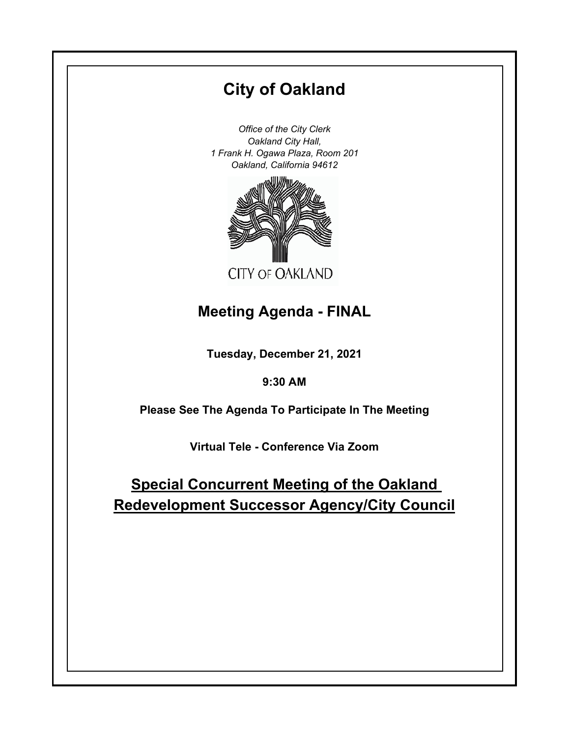# **City of Oakland**

*Office of the City Clerk Oakland City Hall, 1 Frank H. Ogawa Plaza, Room 201 Oakland, California 94612*



# **Meeting Agenda - FINAL**

**Tuesday, December 21, 2021**

# **9:30 AM**

**Please See The Agenda To Participate In The Meeting**

**Virtual Tele - Conference Via Zoom**

# **Special Concurrent Meeting of the Oakland Redevelopment Successor Agency/City Council**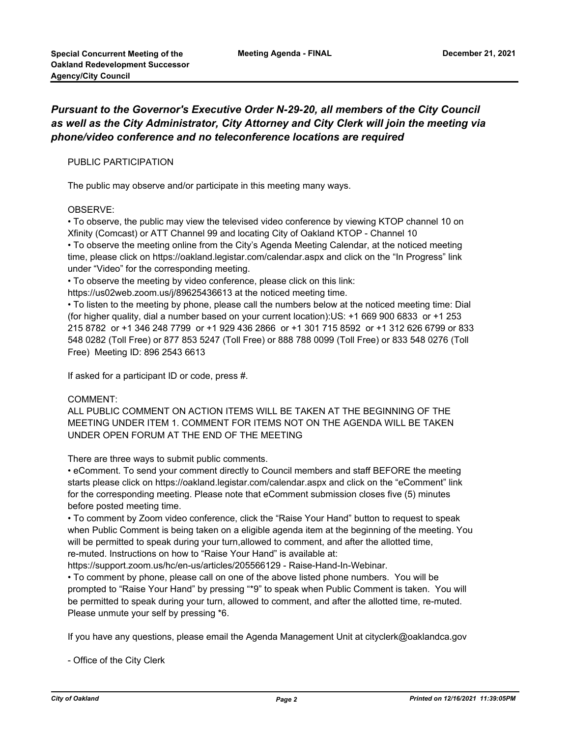### *Pursuant to the Governor's Executive Order N-29-20, all members of the City Council as well as the City Administrator, City Attorney and City Clerk will join the meeting via phone/video conference and no teleconference locations are required*

#### PUBLIC PARTICIPATION

The public may observe and/or participate in this meeting many ways.

#### OBSERVE:

• To observe, the public may view the televised video conference by viewing KTOP channel 10 on Xfinity (Comcast) or ATT Channel 99 and locating City of Oakland KTOP - Channel 10 • To observe the meeting online from the City's Agenda Meeting Calendar, at the noticed meeting time, please click on https://oakland.legistar.com/calendar.aspx and click on the "In Progress" link under "Video" for the corresponding meeting.

• To observe the meeting by video conference, please click on this link:

https://us02web.zoom.us/j/89625436613 at the noticed meeting time.

• To listen to the meeting by phone, please call the numbers below at the noticed meeting time: Dial (for higher quality, dial a number based on your current location):US: +1 669 900 6833 or +1 253 215 8782 or +1 346 248 7799 or +1 929 436 2866 or +1 301 715 8592 or +1 312 626 6799 or 833 548 0282 (Toll Free) or 877 853 5247 (Toll Free) or 888 788 0099 (Toll Free) or 833 548 0276 (Toll Free) Meeting ID: 896 2543 6613

If asked for a participant ID or code, press #.

#### COMMENT:

ALL PUBLIC COMMENT ON ACTION ITEMS WILL BE TAKEN AT THE BEGINNING OF THE MEETING UNDER ITEM 1. COMMENT FOR ITEMS NOT ON THE AGENDA WILL BE TAKEN UNDER OPEN FORUM AT THE END OF THE MEETING

There are three ways to submit public comments.

• eComment. To send your comment directly to Council members and staff BEFORE the meeting starts please click on https://oakland.legistar.com/calendar.aspx and click on the "eComment" link for the corresponding meeting. Please note that eComment submission closes five (5) minutes before posted meeting time.

• To comment by Zoom video conference, click the "Raise Your Hand" button to request to speak when Public Comment is being taken on a eligible agenda item at the beginning of the meeting. You will be permitted to speak during your turn,allowed to comment, and after the allotted time, re-muted. Instructions on how to "Raise Your Hand" is available at:

https://support.zoom.us/hc/en-us/articles/205566129 - Raise-Hand-In-Webinar.

• To comment by phone, please call on one of the above listed phone numbers. You will be prompted to "Raise Your Hand" by pressing "\*9" to speak when Public Comment is taken. You will be permitted to speak during your turn, allowed to comment, and after the allotted time, re-muted. Please unmute your self by pressing \*6.

If you have any questions, please email the Agenda Management Unit at cityclerk@oaklandca.gov

- Office of the City Clerk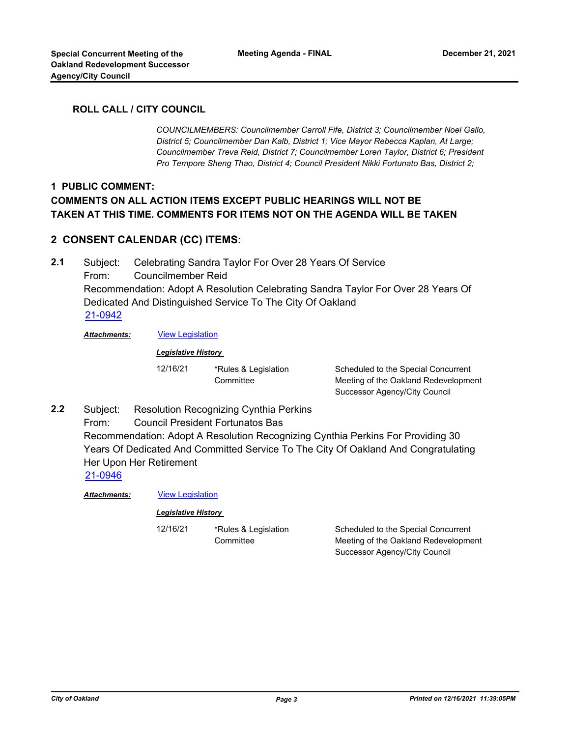#### **ROLL CALL / CITY COUNCIL**

*COUNCILMEMBERS: Councilmember Carroll Fife, District 3; Councilmember Noel Gallo, District 5; Councilmember Dan Kalb, District 1; Vice Mayor Rebecca Kaplan, At Large; Councilmember Treva Reid, District 7; Councilmember Loren Taylor, District 6; President Pro Tempore Sheng Thao, District 4; Council President Nikki Fortunato Bas, District 2;*

### **1 PUBLIC COMMENT: COMMENTS ON ALL ACTION ITEMS EXCEPT PUBLIC HEARINGS WILL NOT BE TAKEN AT THIS TIME. COMMENTS FOR ITEMS NOT ON THE AGENDA WILL BE TAKEN**

### **2 CONSENT CALENDAR (CC) ITEMS:**

Subject: Celebrating Sandra Taylor For Over 28 Years Of Service From: Councilmember Reid Recommendation: Adopt A Resolution Celebrating Sandra Taylor For Over 28 Years Of Dedicated And Distinguished Service To The City Of Oakland **2.1** [21-0942](http://oakland.legistar.com/gateway.aspx?m=l&id=/matter.aspx?key=32866)

*Attachments:* [View Legislation](http://oakland.legistar.com/gateway.aspx?M=F&ID=c904058c-ff41-4027-a420-8e9b33a90907.PDF)

*Legislative History* 

12/16/21 \*Rules & Legislation **Committee** 

Scheduled to the Special Concurrent Meeting of the Oakland Redevelopment Successor Agency/City Council

Subject: Resolution Recognizing Cynthia Perkins From: Council President Fortunatos Bas Recommendation: Adopt A Resolution Recognizing Cynthia Perkins For Providing 30 Years Of Dedicated And Committed Service To The City Of Oakland And Congratulating Her Upon Her Retirement **2.2** [21-0946](http://oakland.legistar.com/gateway.aspx?m=l&id=/matter.aspx?key=32870)

*Attachments:* [View Legislation](http://oakland.legistar.com/gateway.aspx?M=F&ID=bf4b8844-1724-498d-a08e-558c37eb4c62.PDF)

#### *Legislative History*

12/16/21 \*Rules & Legislation **Committee** 

Scheduled to the Special Concurrent Meeting of the Oakland Redevelopment Successor Agency/City Council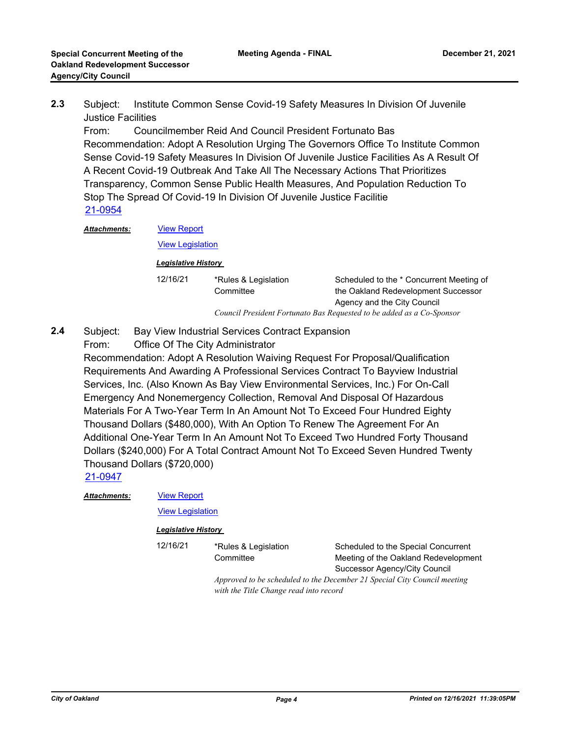Subject: Institute Common Sense Covid-19 Safety Measures In Division Of Juvenile Justice Facilities **2.3**

From: Councilmember Reid And Council President Fortunato Bas Recommendation: Adopt A Resolution Urging The Governors Office To Institute Common Sense Covid-19 Safety Measures In Division Of Juvenile Justice Facilities As A Result Of A Recent Covid-19 Outbreak And Take All The Necessary Actions That Prioritizes Transparency, Common Sense Public Health Measures, And Population Reduction To Stop The Spread Of Covid-19 In Division Of Juvenile Justice Facilitie [21-0954](http://oakland.legistar.com/gateway.aspx?m=l&id=/matter.aspx?key=32878)

[View Report](http://oakland.legistar.com/gateway.aspx?M=F&ID=7bcb3aeb-741b-4dcc-9ce2-43027f5408e3.pdf) [View Legislation](http://oakland.legistar.com/gateway.aspx?M=F&ID=00cec07d-ac4c-4b74-a5e7-fff1a5da2fc2.PDF) *Attachments: Legislative History* 

> 12/16/21 \*Rules & Legislation **Committee** Scheduled to the \* Concurrent Meeting of the Oakland Redevelopment Successor Agency and the City Council *Council President Fortunato Bas Requested to be added as a Co-Sponsor*

- Subject: Bay View Industrial Services Contract Expansion **2.4**
	- From: Office Of The City Administrator

Recommendation: Adopt A Resolution Waiving Request For Proposal/Qualification Requirements And Awarding A Professional Services Contract To Bayview Industrial Services, Inc. (Also Known As Bay View Environmental Services, Inc.) For On-Call Emergency And Nonemergency Collection, Removal And Disposal Of Hazardous Materials For A Two-Year Term In An Amount Not To Exceed Four Hundred Eighty Thousand Dollars (\$480,000), With An Option To Renew The Agreement For An Additional One-Year Term In An Amount Not To Exceed Two Hundred Forty Thousand Dollars (\$240,000) For A Total Contract Amount Not To Exceed Seven Hundred Twenty Thousand Dollars (\$720,000)

[21-0947](http://oakland.legistar.com/gateway.aspx?m=l&id=/matter.aspx?key=32871)

*Attachments:*

[View Report](http://oakland.legistar.com/gateway.aspx?M=F&ID=49f36a64-863a-4785-93ce-7d2451af145e.pdf)

[View Legislation](http://oakland.legistar.com/gateway.aspx?M=F&ID=1485f16c-a6e8-4982-84b0-e7d723ceaeda.pdf)

#### *Legislative History*

12/16/21 \*Rules & Legislation **Committee** 

Scheduled to the Special Concurrent Meeting of the Oakland Redevelopment Successor Agency/City Council

*Approved to be scheduled to the December 21 Special City Council meeting with the Title Change read into record*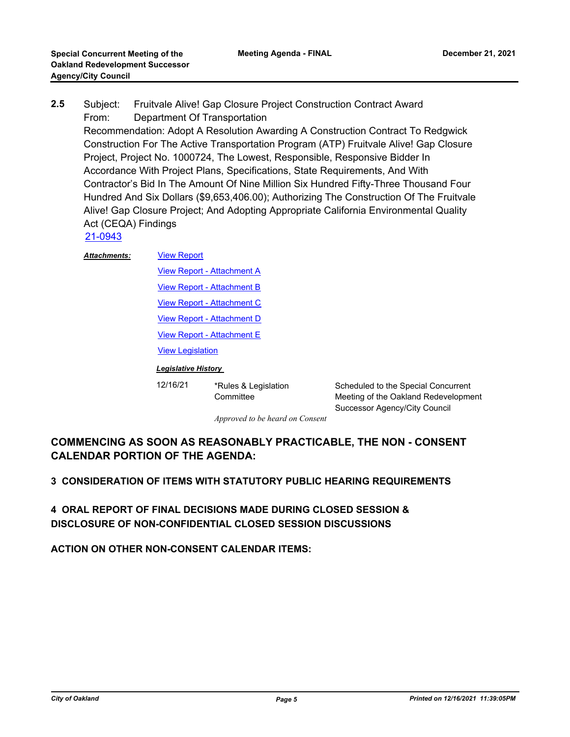Subject: Fruitvale Alive! Gap Closure Project Construction Contract Award From: Department Of Transportation Recommendation: Adopt A Resolution Awarding A Construction Contract To Redgwick Construction For The Active Transportation Program (ATP) Fruitvale Alive! Gap Closure Project, Project No. 1000724, The Lowest, Responsible, Responsive Bidder In Accordance With Project Plans, Specifications, State Requirements, And With Contractor's Bid In The Amount Of Nine Million Six Hundred Fifty-Three Thousand Four Hundred And Six Dollars (\$9,653,406.00); Authorizing The Construction Of The Fruitvale Alive! Gap Closure Project; And Adopting Appropriate California Environmental Quality Act (CEQA) Findings **2.5**

[21-0943](http://oakland.legistar.com/gateway.aspx?m=l&id=/matter.aspx?key=32867)

#### [View Report](http://oakland.legistar.com/gateway.aspx?M=F&ID=28ac1124-7ece-4b29-9024-711da25b2d1b.pdf) *Attachments:*

**[View Report - Attachment A](http://oakland.legistar.com/gateway.aspx?M=F&ID=7efb0313-e7e8-4b2e-970f-6556d032232a.pdf)** 

[View Report - Attachment B](http://oakland.legistar.com/gateway.aspx?M=F&ID=963540dc-9356-4b6c-9712-9d9dec6f2395.pdf)

[View Report - Attachment C](http://oakland.legistar.com/gateway.aspx?M=F&ID=3c60ec12-e2d6-480f-9ce6-36a222eec69a.pdf)

[View Report - Attachment D](http://oakland.legistar.com/gateway.aspx?M=F&ID=b272a0dd-5012-4624-bf8a-845ef6504a72.pdf)

[View Report - Attachment E](http://oakland.legistar.com/gateway.aspx?M=F&ID=0bb0cbbd-f8fd-4e39-a7d5-acf4e3fd28d4.pdf)

[View Legislation](http://oakland.legistar.com/gateway.aspx?M=F&ID=150f213b-3b8e-4984-92c9-ca43aef1f3ee.pdf)

#### *Legislative History*

12/16/21 \*Rules & Legislation **Committee** 

Scheduled to the Special Concurrent Meeting of the Oakland Redevelopment Successor Agency/City Council

*Approved to be heard on Consent*

# **COMMENCING AS SOON AS REASONABLY PRACTICABLE, THE NON - CONSENT CALENDAR PORTION OF THE AGENDA:**

## **3 CONSIDERATION OF ITEMS WITH STATUTORY PUBLIC HEARING REQUIREMENTS**

**4 ORAL REPORT OF FINAL DECISIONS MADE DURING CLOSED SESSION & DISCLOSURE OF NON-CONFIDENTIAL CLOSED SESSION DISCUSSIONS**

**ACTION ON OTHER NON-CONSENT CALENDAR ITEMS:**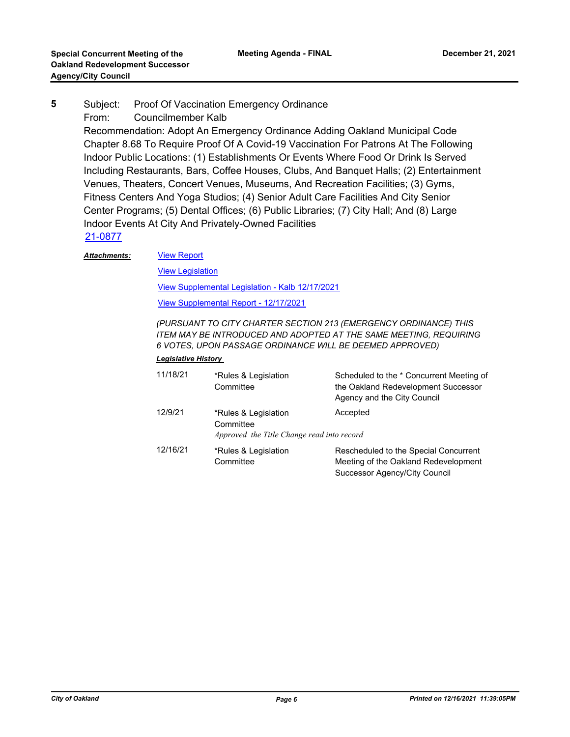Subject: Proof Of Vaccination Emergency Ordinance From: Councilmember Kalb Recommendation: Adopt An Emergency Ordinance Adding Oakland Municipal Code Chapter 8.68 To Require Proof Of A Covid-19 Vaccination For Patrons At The Following Indoor Public Locations: (1) Establishments Or Events Where Food Or Drink Is Served Including Restaurants, Bars, Coffee Houses, Clubs, And Banquet Halls; (2) Entertainment Venues, Theaters, Concert Venues, Museums, And Recreation Facilities; (3) Gyms, Fitness Centers And Yoga Studios; (4) Senior Adult Care Facilities And City Senior Center Programs; (5) Dental Offices; (6) Public Libraries; (7) City Hall; And (8) Large Indoor Events At City And Privately-Owned Facilities **5** [21-0877](http://oakland.legistar.com/gateway.aspx?m=l&id=/matter.aspx?key=32801) [View Report](http://oakland.legistar.com/gateway.aspx?M=F&ID=b2e44a4c-9ff8-43f9-9c9c-3b526971af85.pdf)

*Attachments:*

**[View Legislation](http://oakland.legistar.com/gateway.aspx?M=F&ID=1c893f53-dd8c-4345-b04c-56e4f3359b23.pdf)** 

[View Supplemental Legislation - Kalb 12/17/2021](http://oakland.legistar.com/gateway.aspx?M=F&ID=aa76bcb9-443f-4a2d-b78b-bf70580c3070.pdf)

[View Supplemental Report - 12/17/2021](http://oakland.legistar.com/gateway.aspx?M=F&ID=fbb95e29-db07-4f1c-ae18-afced59c3a63.pdf)

*(PURSUANT TO CITY CHARTER SECTION 213 (EMERGENCY ORDINANCE) THIS ITEM MAY BE INTRODUCED AND ADOPTED AT THE SAME MEETING, REQUIRING 6 VOTES, UPON PASSAGE ORDINANCE WILL BE DEEMED APPROVED)*

#### *Legislative History*

| 11/18/21 | *Rules & Legislation<br>Committee                                               | Scheduled to the * Concurrent Meeting of<br>the Oakland Redevelopment Successor<br>Agency and the City Council |
|----------|---------------------------------------------------------------------------------|----------------------------------------------------------------------------------------------------------------|
| 12/9/21  | *Rules & Legislation<br>Committee<br>Approved the Title Change read into record | Accepted                                                                                                       |
| 12/16/21 | *Rules & Legislation<br>Committee                                               | Rescheduled to the Special Concurrent<br>Meeting of the Oakland Redevelopment<br>Successor Agency/City Council |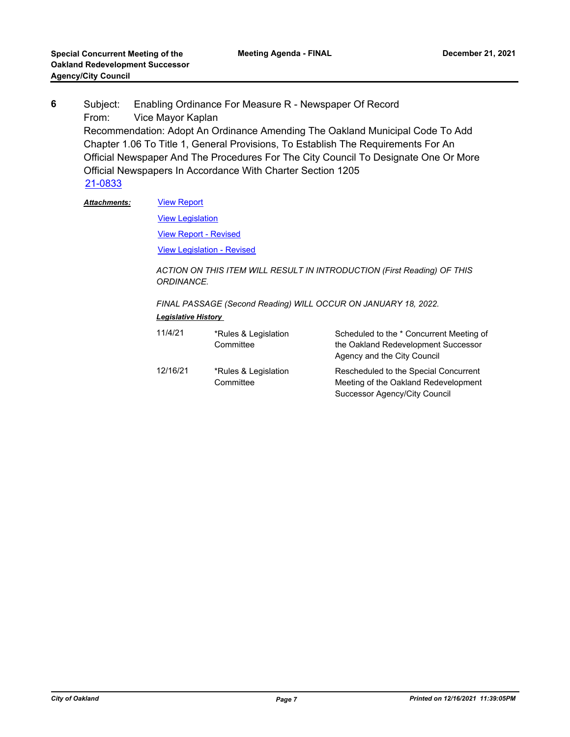Subject: Enabling Ordinance For Measure R - Newspaper Of Record From: Vice Mayor Kaplan Recommendation: Adopt An Ordinance Amending The Oakland Municipal Code To Add Chapter 1.06 To Title 1, General Provisions, To Establish The Requirements For An Official Newspaper And The Procedures For The City Council To Designate One Or More Official Newspapers In Accordance With Charter Section 1205 **6** [21-0833](http://oakland.legistar.com/gateway.aspx?m=l&id=/matter.aspx?key=32758)

[View Report](http://oakland.legistar.com/gateway.aspx?M=F&ID=2c86af1d-33d2-4b40-b8b7-760cac2cf17e.pdf) *Attachments:*

[View Legislation](http://oakland.legistar.com/gateway.aspx?M=F&ID=20c81d96-a2b2-4bc8-9cbb-5c583aa2adc1.PDF)

[View Report - Revised](http://oakland.legistar.com/gateway.aspx?M=F&ID=9319edcf-4962-45d2-8853-7cdc8d38eb1b.pdf)

[View Legislation - Revised](http://oakland.legistar.com/gateway.aspx?M=F&ID=041ba913-df6d-47b7-a54b-22823456ac81.pdf)

*ACTION ON THIS ITEM WILL RESULT IN INTRODUCTION (First Reading) OF THIS ORDINANCE.* 

*FINAL PASSAGE (Second Reading) WILL OCCUR ON JANUARY 18, 2022. Legislative History* 

| 11/4/21  | *Rules & Legislation<br>Committee | Scheduled to the * Concurrent Meeting of<br>the Oakland Redevelopment Successor<br>Agency and the City Council |
|----------|-----------------------------------|----------------------------------------------------------------------------------------------------------------|
| 12/16/21 | *Rules & Legislation<br>Committee | Rescheduled to the Special Concurrent<br>Meeting of the Oakland Redevelopment                                  |
|          |                                   | <b>Successor Agency/City Council</b>                                                                           |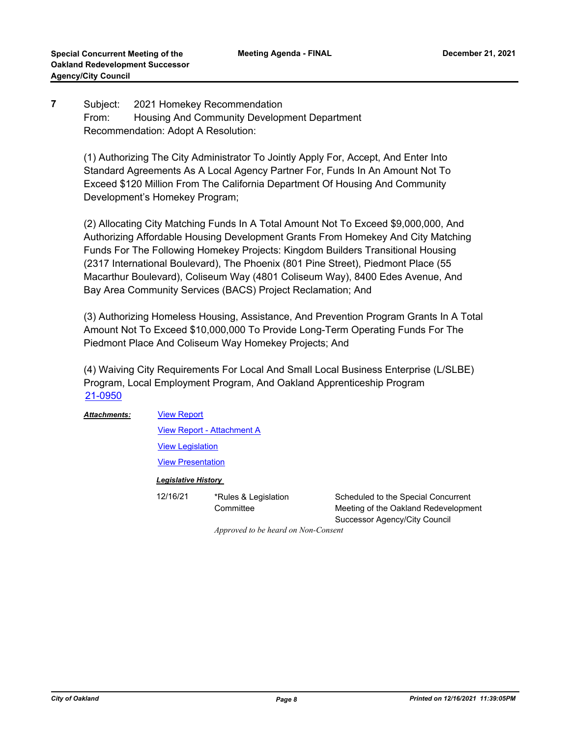**Meeting Agenda - FINAL**

#### Subject: 2021 Homekey Recommendation From: Housing And Community Development Department Recommendation: Adopt A Resolution: **7**

(1) Authorizing The City Administrator To Jointly Apply For, Accept, And Enter Into Standard Agreements As A Local Agency Partner For, Funds In An Amount Not To Exceed \$120 Million From The California Department Of Housing And Community Development's Homekey Program;

(2) Allocating City Matching Funds In A Total Amount Not To Exceed \$9,000,000, And Authorizing Affordable Housing Development Grants From Homekey And City Matching Funds For The Following Homekey Projects: Kingdom Builders Transitional Housing (2317 International Boulevard), The Phoenix (801 Pine Street), Piedmont Place (55 Macarthur Boulevard), Coliseum Way (4801 Coliseum Way), 8400 Edes Avenue, And Bay Area Community Services (BACS) Project Reclamation; And

(3) Authorizing Homeless Housing, Assistance, And Prevention Program Grants In A Total Amount Not To Exceed \$10,000,000 To Provide Long-Term Operating Funds For The Piedmont Place And Coliseum Way Homekey Projects; And

(4) Waiving City Requirements For Local And Small Local Business Enterprise (L/SLBE) Program, Local Employment Program, And Oakland Apprenticeship Program [21-0950](http://oakland.legistar.com/gateway.aspx?m=l&id=/matter.aspx?key=32874)

[View Report](http://oakland.legistar.com/gateway.aspx?M=F&ID=c404d7ef-6206-4837-8eea-569fe9c61fae.pdf) [View Report - Attachment A](http://oakland.legistar.com/gateway.aspx?M=F&ID=3ae2c859-a233-4474-a6fe-85fbab836c4e.pdf) **[View Legislation](http://oakland.legistar.com/gateway.aspx?M=F&ID=6d303a1e-12fd-46e1-81a1-223742d54f38.pdf)** [View Presentation](http://oakland.legistar.com/gateway.aspx?M=F&ID=b17c9def-e4ad-41d6-a4cc-f2e745da83d8.pdf) *Attachments: Legislative History*  12/16/21 \*Rules & Legislation **Committee** Scheduled to the Special Concurrent Meeting of the Oakland Redevelopment Successor Agency/City Council

*Approved to be heard on Non-Consent*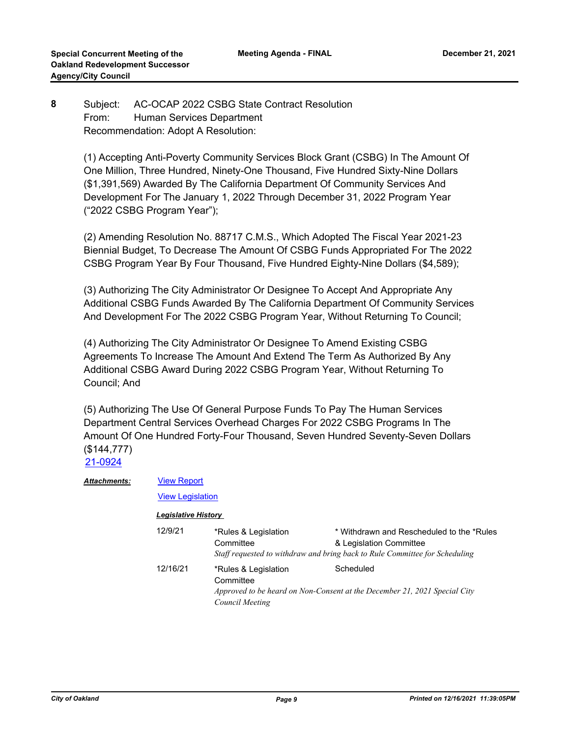#### Subject: AC-OCAP 2022 CSBG State Contract Resolution From: Human Services Department Recommendation: Adopt A Resolution: **8**

(1) Accepting Anti-Poverty Community Services Block Grant (CSBG) In The Amount Of One Million, Three Hundred, Ninety-One Thousand, Five Hundred Sixty-Nine Dollars (\$1,391,569) Awarded By The California Department Of Community Services And Development For The January 1, 2022 Through December 31, 2022 Program Year ("2022 CSBG Program Year");

(2) Amending Resolution No. 88717 C.M.S., Which Adopted The Fiscal Year 2021-23 Biennial Budget, To Decrease The Amount Of CSBG Funds Appropriated For The 2022 CSBG Program Year By Four Thousand, Five Hundred Eighty-Nine Dollars (\$4,589);

(3) Authorizing The City Administrator Or Designee To Accept And Appropriate Any Additional CSBG Funds Awarded By The California Department Of Community Services And Development For The 2022 CSBG Program Year, Without Returning To Council;

(4) Authorizing The City Administrator Or Designee To Amend Existing CSBG Agreements To Increase The Amount And Extend The Term As Authorized By Any Additional CSBG Award During 2022 CSBG Program Year, Without Returning To Council; And

(5) Authorizing The Use Of General Purpose Funds To Pay The Human Services Department Central Services Overhead Charges For 2022 CSBG Programs In The Amount Of One Hundred Forty-Four Thousand, Seven Hundred Seventy-Seven Dollars (\$144,777) [21-0924](http://oakland.legistar.com/gateway.aspx?m=l&id=/matter.aspx?key=32848)

| <b>Attachments:</b> | <b>View Report</b>                                    |          |                                                      |
|---------------------|-------------------------------------------------------|----------|------------------------------------------------------|
|                     | <b>View Legislation</b><br><b>Legislative History</b> |          |                                                      |
|                     |                                                       |          |                                                      |
|                     |                                                       | 12/16/21 | *Rules & Legislation<br>Committee<br>Council Meeting |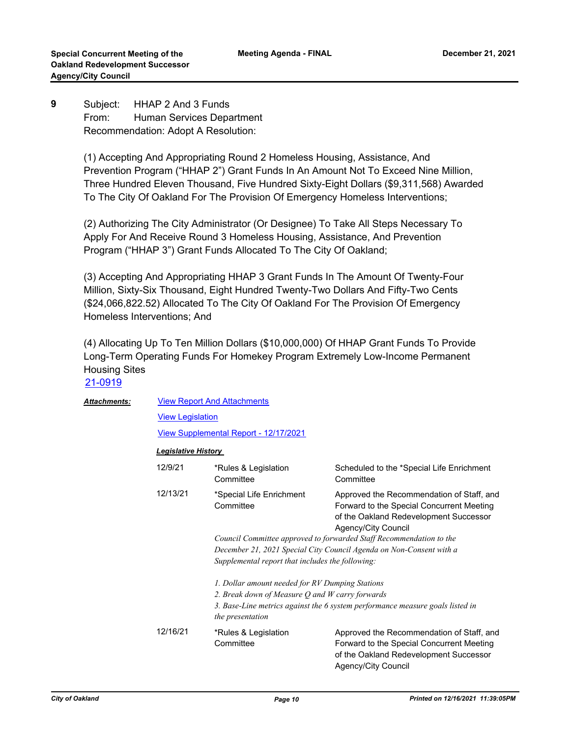Subject: HHAP 2 And 3 Funds From: Human Services Department Recommendation: Adopt A Resolution: **9**

> (1) Accepting And Appropriating Round 2 Homeless Housing, Assistance, And Prevention Program ("HHAP 2") Grant Funds In An Amount Not To Exceed Nine Million, Three Hundred Eleven Thousand, Five Hundred Sixty-Eight Dollars (\$9,311,568) Awarded To The City Of Oakland For The Provision Of Emergency Homeless Interventions;

(2) Authorizing The City Administrator (Or Designee) To Take All Steps Necessary To Apply For And Receive Round 3 Homeless Housing, Assistance, And Prevention Program ("HHAP 3") Grant Funds Allocated To The City Of Oakland;

(3) Accepting And Appropriating HHAP 3 Grant Funds In The Amount Of Twenty-Four Million, Sixty-Six Thousand, Eight Hundred Twenty-Two Dollars And Fifty-Two Cents (\$24,066,822.52) Allocated To The City Of Oakland For The Provision Of Emergency Homeless Interventions; And

(4) Allocating Up To Ten Million Dollars (\$10,000,000) Of HHAP Grant Funds To Provide Long-Term Operating Funds For Homekey Program Extremely Low-Income Permanent Housing Sites [21-0919](http://oakland.legistar.com/gateway.aspx?m=l&id=/matter.aspx?key=32843)

| <b>Attachments:</b> | <b>View Report And Attachments</b>                                                                 |                                                                     |                                                                                                                                                         |  |
|---------------------|----------------------------------------------------------------------------------------------------|---------------------------------------------------------------------|---------------------------------------------------------------------------------------------------------------------------------------------------------|--|
|                     | <b>View Legislation</b>                                                                            |                                                                     |                                                                                                                                                         |  |
|                     | <u>View Supplemental Report - 12/17/2021</u>                                                       |                                                                     |                                                                                                                                                         |  |
|                     | <b>Legislative History</b>                                                                         |                                                                     |                                                                                                                                                         |  |
|                     | 12/9/21                                                                                            | *Rules & Legislation<br>Committee                                   | Scheduled to the *Special Life Enrichment<br>Committee                                                                                                  |  |
|                     | 12/13/21                                                                                           | *Special Life Enrichment<br>Committee                               | Approved the Recommendation of Staff, and<br>Forward to the Special Concurrent Meeting<br>of the Oakland Redevelopment Successor<br>Agency/City Council |  |
|                     |                                                                                                    | Council Committee approved to forwarded Staff Recommendation to the |                                                                                                                                                         |  |
|                     |                                                                                                    | December 21, 2021 Special City Council Agenda on Non-Consent with a |                                                                                                                                                         |  |
|                     |                                                                                                    | Supplemental report that includes the following:                    |                                                                                                                                                         |  |
|                     | 1. Dollar amount needed for RV Dumping Stations<br>2. Break down of Measure Q and W carry forwards |                                                                     | 3. Base-Line metrics against the 6 system performance measure goals listed in                                                                           |  |
|                     |                                                                                                    | the presentation                                                    |                                                                                                                                                         |  |
|                     | 12/16/21                                                                                           | *Rules & Legislation<br>Committee                                   | Approved the Recommendation of Staff, and<br>Forward to the Special Concurrent Meeting<br>of the Oakland Redevelopment Successor<br>Agency/City Council |  |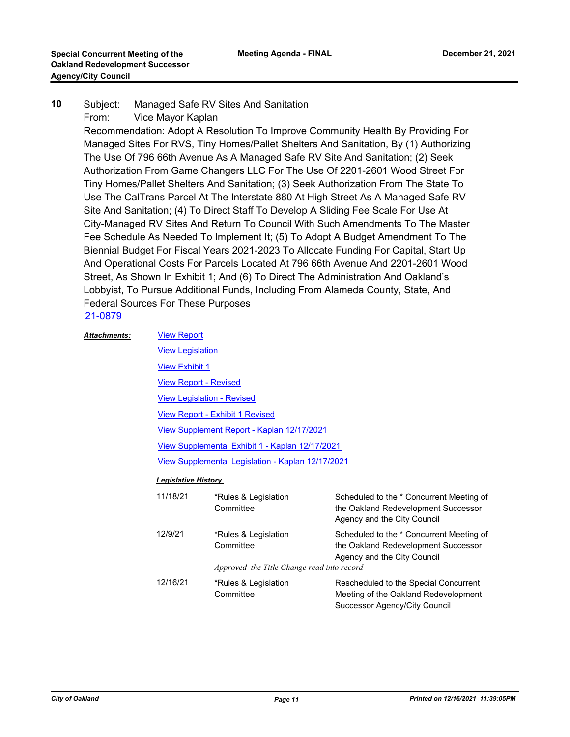#### Subject: Managed Safe RV Sites And Sanitation **10**

From: Vice Mayor Kaplan

Recommendation: Adopt A Resolution To Improve Community Health By Providing For Managed Sites For RVS, Tiny Homes/Pallet Shelters And Sanitation, By (1) Authorizing The Use Of 796 66th Avenue As A Managed Safe RV Site And Sanitation; (2) Seek Authorization From Game Changers LLC For The Use Of 2201-2601 Wood Street For Tiny Homes/Pallet Shelters And Sanitation; (3) Seek Authorization From The State To Use The CalTrans Parcel At The Interstate 880 At High Street As A Managed Safe RV Site And Sanitation; (4) To Direct Staff To Develop A Sliding Fee Scale For Use At City-Managed RV Sites And Return To Council With Such Amendments To The Master Fee Schedule As Needed To Implement It; (5) To Adopt A Budget Amendment To The Biennial Budget For Fiscal Years 2021-2023 To Allocate Funding For Capital, Start Up And Operational Costs For Parcels Located At 796 66th Avenue And 2201-2601 Wood Street, As Shown In Exhibit 1; And (6) To Direct The Administration And Oakland's Lobbyist, To Pursue Additional Funds, Including From Alameda County, State, And Federal Sources For These Purposes

# [21-0879](http://oakland.legistar.com/gateway.aspx?m=l&id=/matter.aspx?key=32803)

[View Report](http://oakland.legistar.com/gateway.aspx?M=F&ID=8f5b74cb-2594-4858-b79b-35dd075430f8.pdf) *Attachments:*

[View Legislation](http://oakland.legistar.com/gateway.aspx?M=F&ID=6a733ebb-3cd3-4f9d-b88f-f860b9c6d66d.pdf) [View Exhibit 1](http://oakland.legistar.com/gateway.aspx?M=F&ID=b40bb31d-207e-4094-8153-88fa098f5b8a.pdf) [View Report - Revised](http://oakland.legistar.com/gateway.aspx?M=F&ID=00dbfe12-ecaf-4529-bfeb-2212578a4792.pdf) [View Legislation - Revised](http://oakland.legistar.com/gateway.aspx?M=F&ID=fd51d7ac-6910-4a3e-9ccb-c1e0a572d705.pdf) [View Report - Exhibit 1 Revised](http://oakland.legistar.com/gateway.aspx?M=F&ID=e5a76bbb-b45f-4e71-b592-bd8b9490a648.pdf) [View Supplement Report - Kaplan 12/17/2021](http://oakland.legistar.com/gateway.aspx?M=F&ID=cf7370e5-33bb-46e8-88e4-09a4ba7fd32e.pdf) [View Supplemental Exhibit 1 - Kaplan 12/17/2021](http://oakland.legistar.com/gateway.aspx?M=F&ID=3c5b2c74-6586-4e69-aaf0-be626af05043.pdf) [View Supplemental Legislation - Kaplan 12/17/2021](http://oakland.legistar.com/gateway.aspx?M=F&ID=8b697cb7-22e3-4b4b-afc1-643f86de79e8.PDF)

#### *Legislative History*

| 11/18/21 | *Rules & Legislation<br>Committee                                               | Scheduled to the * Concurrent Meeting of<br>the Oakland Redevelopment Successor<br>Agency and the City Council |
|----------|---------------------------------------------------------------------------------|----------------------------------------------------------------------------------------------------------------|
| 12/9/21  | *Rules & Legislation<br>Committee<br>Approved the Title Change read into record | Scheduled to the * Concurrent Meeting of<br>the Oakland Redevelopment Successor<br>Agency and the City Council |
| 12/16/21 | *Rules & Legislation<br>Committee                                               | Rescheduled to the Special Concurrent<br>Meeting of the Oakland Redevelopment<br>Successor Agency/City Council |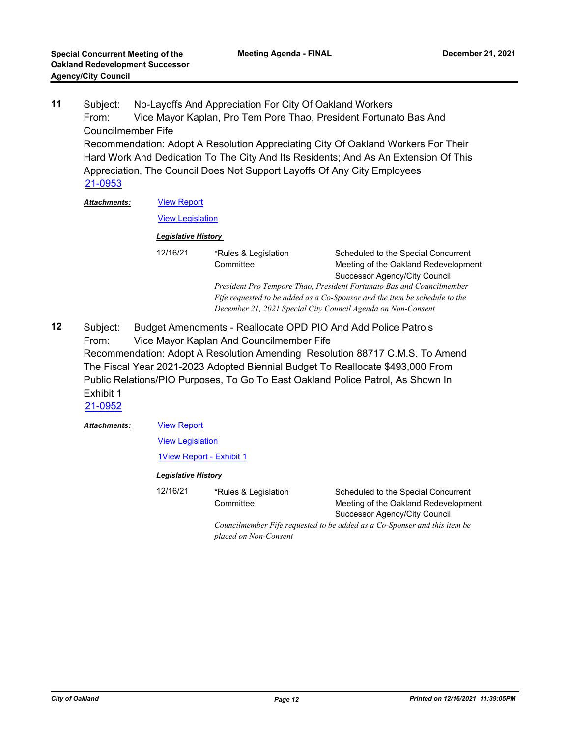Subject: No-Layoffs And Appreciation For City Of Oakland Workers From: Vice Mayor Kaplan, Pro Tem Pore Thao, President Fortunato Bas And Councilmember Fife Recommendation: Adopt A Resolution Appreciating City Of Oakland Workers For Their Hard Work And Dedication To The City And Its Residents; And As An Extension Of This Appreciation, The Council Does Not Support Layoffs Of Any City Employees **11** [21-0953](http://oakland.legistar.com/gateway.aspx?m=l&id=/matter.aspx?key=32877) Attac

| hments: | <b>View Report</b> |                                                                       |                                                                            |  |  |
|---------|--------------------|-----------------------------------------------------------------------|----------------------------------------------------------------------------|--|--|
|         |                    | <b>View Legislation</b>                                               |                                                                            |  |  |
|         |                    | <b>Legislative History</b>                                            |                                                                            |  |  |
|         | 12/16/21           | *Rules & Legislation                                                  | Scheduled to the Special Concurrent                                        |  |  |
|         |                    | Committee                                                             | Meeting of the Oakland Redevelopment                                       |  |  |
|         |                    |                                                                       | Successor Agency/City Council                                              |  |  |
|         |                    | President Pro Tempore Thao, President Fortunato Bas and Councilmember |                                                                            |  |  |
|         |                    |                                                                       | Fife requested to be added as a Co-Sponsor and the item be schedule to the |  |  |
|         |                    |                                                                       | December 21, 2021 Special City Council Agenda on Non-Consent               |  |  |
|         |                    |                                                                       |                                                                            |  |  |

Subject: Budget Amendments - Reallocate OPD PIO And Add Police Patrols From: Vice Mayor Kaplan And Councilmember Fife Recommendation: Adopt A Resolution Amending Resolution 88717 C.M.S. To Amend The Fiscal Year 2021-2023 Adopted Biennial Budget To Reallocate \$493,000 From Public Relations/PIO Purposes, To Go To East Oakland Police Patrol, As Shown In Exhibit 1 **12**

[21-0952](http://oakland.legistar.com/gateway.aspx?m=l&id=/matter.aspx?key=32876)

[View Report](http://oakland.legistar.com/gateway.aspx?M=F&ID=0fcce2eb-8aab-4b46-8e81-a3dc392c1f97.pdf) *Attachments:*

[View Legislation](http://oakland.legistar.com/gateway.aspx?M=F&ID=508c63ed-0a9b-4b2f-bc40-e3e305a6b048.pdf)

[1View Report - Exhibit 1](http://oakland.legistar.com/gateway.aspx?M=F&ID=a78f4ac8-f837-4036-acbc-437031ca6f17.pdf)

**Committee** 

#### *Legislative History*

12/16/21 \*Rules & Legislation

Scheduled to the Special Concurrent Meeting of the Oakland Redevelopment Successor Agency/City Council

*Councilmember Fife requested to be added as a Co-Sponser and this item be placed on Non-Consent*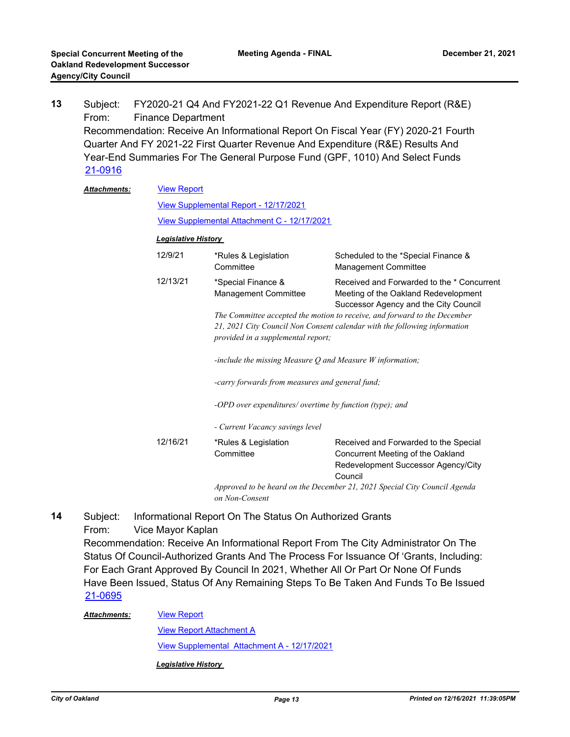Subject: FY2020-21 Q4 And FY2021-22 Q1 Revenue And Expenditure Report (R&E) From: Finance Department Recommendation: Receive An Informational Report On Fiscal Year (FY) 2020-21 Fourth Quarter And FY 2021-22 First Quarter Revenue And Expenditure (R&E) Results And Year-End Summaries For The General Purpose Fund (GPF, 1010) And Select Funds **13** [21-0916](http://oakland.legistar.com/gateway.aspx?m=l&id=/matter.aspx?key=32840)

| <b>Attachments:</b> | <b>View Report</b>                                                        |                                                                                                                                                                                              |                                                                                                                              |  |  |
|---------------------|---------------------------------------------------------------------------|----------------------------------------------------------------------------------------------------------------------------------------------------------------------------------------------|------------------------------------------------------------------------------------------------------------------------------|--|--|
|                     | View Supplemental Report - 12/17/2021                                     |                                                                                                                                                                                              |                                                                                                                              |  |  |
|                     |                                                                           | View Supplemental Attachment C - 12/17/2021                                                                                                                                                  |                                                                                                                              |  |  |
|                     | <b>Legislative History</b>                                                |                                                                                                                                                                                              |                                                                                                                              |  |  |
|                     | 12/9/21                                                                   | *Rules & Legislation<br>Committee                                                                                                                                                            | Scheduled to the *Special Finance &<br><b>Management Committee</b>                                                           |  |  |
|                     | 12/13/21                                                                  | *Special Finance &<br>Management Committee                                                                                                                                                   | Received and Forwarded to the * Concurrent<br>Meeting of the Oakland Redevelopment<br>Successor Agency and the City Council  |  |  |
|                     |                                                                           | The Committee accepted the motion to receive, and forward to the December<br>21, 2021 City Council Non Consent calendar with the following information<br>provided in a supplemental report; |                                                                                                                              |  |  |
|                     |                                                                           | -include the missing Measure $Q$ and Measure $W$ information;                                                                                                                                |                                                                                                                              |  |  |
|                     |                                                                           | -carry forwards from measures and general fund;                                                                                                                                              |                                                                                                                              |  |  |
|                     |                                                                           | -OPD over expenditures/ overtime by function (type); and                                                                                                                                     |                                                                                                                              |  |  |
|                     |                                                                           | - Current Vacancy savings level                                                                                                                                                              |                                                                                                                              |  |  |
|                     | 12/16/21                                                                  | *Rules & Legislation<br>Committee                                                                                                                                                            | Received and Forwarded to the Special<br>Concurrent Meeting of the Oakland<br>Redevelopment Successor Agency/City<br>Council |  |  |
|                     | Approved to be heard on the December 21, 2021 Special City Council Agenda |                                                                                                                                                                                              |                                                                                                                              |  |  |

*on Non-Consent*

Subject: Informational Report On The Status On Authorized Grants From: Vice Mayor Kaplan Recommendation: Receive An Informational Report From The City Administrator On The Status Of Council-Authorized Grants And The Process For Issuance Of 'Grants, Including: For Each Grant Approved By Council In 2021, Whether All Or Part Or None Of Funds Have Been Issued, Status Of Any Remaining Steps To Be Taken And Funds To Be Issued **14** [21-0695](http://oakland.legistar.com/gateway.aspx?m=l&id=/matter.aspx?key=32620)

#### *Attachments:*

[View Report Attachment A](http://oakland.legistar.com/gateway.aspx?M=F&ID=652733ec-67d6-4dbe-a611-474fc273e4ea.pdf) [View Supplemental Attachment A - 12/17/2021](http://oakland.legistar.com/gateway.aspx?M=F&ID=8dea6c12-038f-463e-9feb-4694e0d4498f.pdf)

*Legislative History* 

[View Report](http://oakland.legistar.com/gateway.aspx?M=F&ID=34aaa5d7-2e8f-497e-a16e-a9efe0904b64.pdf)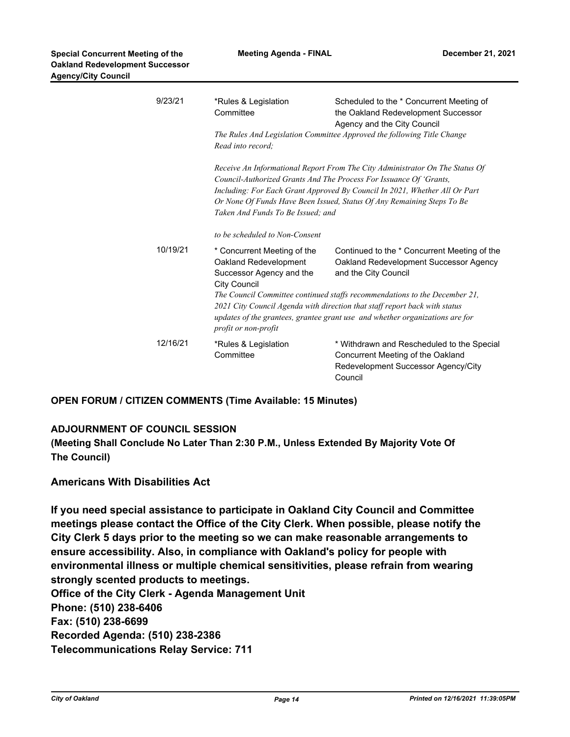| 9/23/21  | *Rules & Legislation<br>Committee<br>Read into record:                                                                                                                                                                                                                                                                                          | Scheduled to the * Concurrent Meeting of<br>the Oakland Redevelopment Successor<br>Agency and the City Council<br>The Rules And Legislation Committee Approved the following Title Change |  |
|----------|-------------------------------------------------------------------------------------------------------------------------------------------------------------------------------------------------------------------------------------------------------------------------------------------------------------------------------------------------|-------------------------------------------------------------------------------------------------------------------------------------------------------------------------------------------|--|
|          | Receive An Informational Report From The City Administrator On The Status Of<br>Council-Authorized Grants And The Process For Issuance Of 'Grants,<br>Including: For Each Grant Approved By Council In 2021, Whether All Or Part<br>Or None Of Funds Have Been Issued, Status Of Any Remaining Steps To Be<br>Taken And Funds To Be Issued; and |                                                                                                                                                                                           |  |
|          | to be scheduled to Non-Consent                                                                                                                                                                                                                                                                                                                  |                                                                                                                                                                                           |  |
| 10/19/21 | * Concurrent Meeting of the<br>Oakland Redevelopment<br>Successor Agency and the<br><b>City Council</b>                                                                                                                                                                                                                                         | Continued to the * Concurrent Meeting of the<br>Oakland Redevelopment Successor Agency<br>and the City Council                                                                            |  |
|          | The Council Committee continued staffs recommendations to the December 21,<br>2021 City Council Agenda with direction that staff report back with status<br>updates of the grantees, grantee grant use and whether organizations are for<br>profit or non-profit                                                                                |                                                                                                                                                                                           |  |
| 12/16/21 | *Rules & Legislation<br>Committee                                                                                                                                                                                                                                                                                                               | * Withdrawn and Rescheduled to the Special<br>Concurrent Meeting of the Oakland<br>Redevelopment Successor Agency/City<br>Council                                                         |  |

**OPEN FORUM / CITIZEN COMMENTS (Time Available: 15 Minutes)**

#### **ADJOURNMENT OF COUNCIL SESSION**

**(Meeting Shall Conclude No Later Than 2:30 P.M., Unless Extended By Majority Vote Of The Council)**

### **Americans With Disabilities Act**

**If you need special assistance to participate in Oakland City Council and Committee meetings please contact the Office of the City Clerk. When possible, please notify the City Clerk 5 days prior to the meeting so we can make reasonable arrangements to ensure accessibility. Also, in compliance with Oakland's policy for people with environmental illness or multiple chemical sensitivities, please refrain from wearing strongly scented products to meetings. Office of the City Clerk - Agenda Management Unit Phone: (510) 238-6406 Fax: (510) 238-6699 Recorded Agenda: (510) 238-2386 Telecommunications Relay Service: 711**